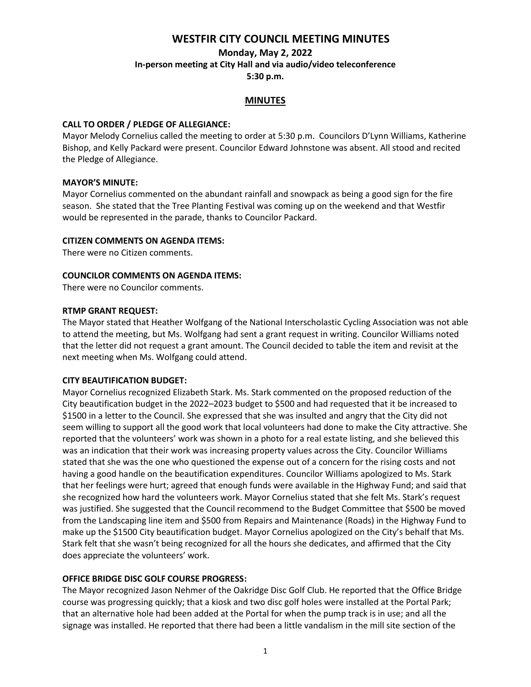# **WESTFIR CITY COUNCIL MEETING MINUTES**

**Monday, May 2, 2022**

**In-person meeting at City Hall and via audio/video teleconference**

**5:30 p.m.**

#### **MINUTES**

#### **CALL TO ORDER / PLEDGE OF ALLEGIANCE:**

Mayor Melody Cornelius called the meeting to order at 5:30 p.m. Councilors D'Lynn Williams, Katherine Bishop, and Kelly Packard were present. Councilor Edward Johnstone was absent. All stood and recited the Pledge of Allegiance.

#### **MAYOR'S MINUTE:**

Mayor Cornelius commented on the abundant rainfall and snowpack as being a good sign for the fire season. She stated that the Tree Planting Festival was coming up on the weekend and that Westfir would be represented in the parade, thanks to Councilor Packard.

#### **CITIZEN COMMENTS ON AGENDA ITEMS:**

There were no Citizen comments.

#### **COUNCILOR COMMENTS ON AGENDA ITEMS:**

There were no Councilor comments.

#### **RTMP GRANT REQUEST:**

The Mayor stated that Heather Wolfgang of the National Interscholastic Cycling Association was not able to attend the meeting, but Ms. Wolfgang had sent a grant request in writing. Councilor Williams noted that the letter did not request a grant amount. The Council decided to table the item and revisit at the next meeting when Ms. Wolfgang could attend.

#### **CITY BEAUTIFICATION BUDGET:**

Mayor Cornelius recognized Elizabeth Stark. Ms. Stark commented on the proposed reduction of the City beautification budget in the 2022–2023 budget to \$500 and had requested that it be increased to \$1500 in a letter to the Council. She expressed that she was insulted and angry that the City did not seem willing to support all the good work that local volunteers had done to make the City attractive. She reported that the volunteers' work was shown in a photo for a real estate listing, and she believed this was an indication that their work was increasing property values across the City. Councilor Williams stated that she was the one who questioned the expense out of a concern for the rising costs and not having a good handle on the beautification expenditures. Councilor Williams apologized to Ms. Stark that her feelings were hurt; agreed that enough funds were available in the Highway Fund; and said that she recognized how hard the volunteers work. Mayor Cornelius stated that she felt Ms. Stark's request was justified. She suggested that the Council recommend to the Budget Committee that \$500 be moved from the Landscaping line item and \$500 from Repairs and Maintenance (Roads) in the Highway Fund to make up the \$1500 City beautification budget. Mayor Cornelius apologized on the City's behalf that Ms. Stark felt that she wasn't being recognized for all the hours she dedicates, and affirmed that the City does appreciate the volunteers' work.

#### **OFFICE BRIDGE DISC GOLF COURSE PROGRESS:**

The Mayor recognized Jason Nehmer of the Oakridge Disc Golf Club. He reported that the Office Bridge course was progressing quickly; that a kiosk and two disc golf holes were installed at the Portal Park; that an alternative hole had been added at the Portal for when the pump track is in use; and all the signage was installed. He reported that there had been a little vandalism in the mill site section of the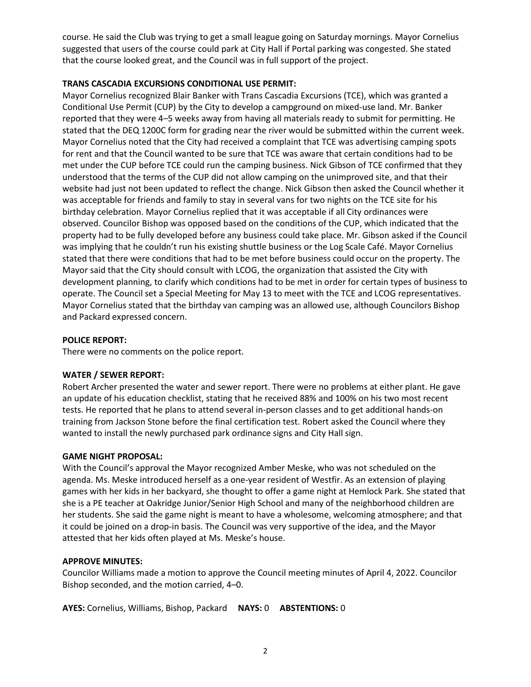course. He said the Club was trying to get a small league going on Saturday mornings. Mayor Cornelius suggested that users of the course could park at City Hall if Portal parking was congested. She stated that the course looked great, and the Council was in full support of the project.

# **TRANS CASCADIA EXCURSIONS CONDITIONAL USE PERMIT:**

Mayor Cornelius recognized Blair Banker with Trans Cascadia Excursions (TCE), which was granted a Conditional Use Permit (CUP) by the City to develop a campground on mixed-use land. Mr. Banker reported that they were 4–5 weeks away from having all materials ready to submit for permitting. He stated that the DEQ 1200C form for grading near the river would be submitted within the current week. Mayor Cornelius noted that the City had received a complaint that TCE was advertising camping spots for rent and that the Council wanted to be sure that TCE was aware that certain conditions had to be met under the CUP before TCE could run the camping business. Nick Gibson of TCE confirmed that they understood that the terms of the CUP did not allow camping on the unimproved site, and that their website had just not been updated to reflect the change. Nick Gibson then asked the Council whether it was acceptable for friends and family to stay in several vans for two nights on the TCE site for his birthday celebration. Mayor Cornelius replied that it was acceptable if all City ordinances were observed. Councilor Bishop was opposed based on the conditions of the CUP, which indicated that the property had to be fully developed before any business could take place. Mr. Gibson asked if the Council was implying that he couldn't run his existing shuttle business or the Log Scale Café. Mayor Cornelius stated that there were conditions that had to be met before business could occur on the property. The Mayor said that the City should consult with LCOG, the organization that assisted the City with development planning, to clarify which conditions had to be met in order for certain types of business to operate. The Council set a Special Meeting for May 13 to meet with the TCE and LCOG representatives. Mayor Cornelius stated that the birthday van camping was an allowed use, although Councilors Bishop and Packard expressed concern.

### **POLICE REPORT:**

There were no comments on the police report.

# **WATER / SEWER REPORT:**

Robert Archer presented the water and sewer report. There were no problems at either plant. He gave an update of his education checklist, stating that he received 88% and 100% on his two most recent tests. He reported that he plans to attend several in-person classes and to get additional hands-on training from Jackson Stone before the final certification test. Robert asked the Council where they wanted to install the newly purchased park ordinance signs and City Hall sign.

#### **GAME NIGHT PROPOSAL:**

With the Council's approval the Mayor recognized Amber Meske, who was not scheduled on the agenda. Ms. Meske introduced herself as a one-year resident of Westfir. As an extension of playing games with her kids in her backyard, she thought to offer a game night at Hemlock Park. She stated that she is a PE teacher at Oakridge Junior/Senior High School and many of the neighborhood children are her students. She said the game night is meant to have a wholesome, welcoming atmosphere; and that it could be joined on a drop-in basis. The Council was very supportive of the idea, and the Mayor attested that her kids often played at Ms. Meske's house.

#### **APPROVE MINUTES:**

Councilor Williams made a motion to approve the Council meeting minutes of April 4, 2022. Councilor Bishop seconded, and the motion carried, 4–0.

**AYES:** Cornelius, Williams, Bishop, Packard **NAYS:** 0 **ABSTENTIONS:** 0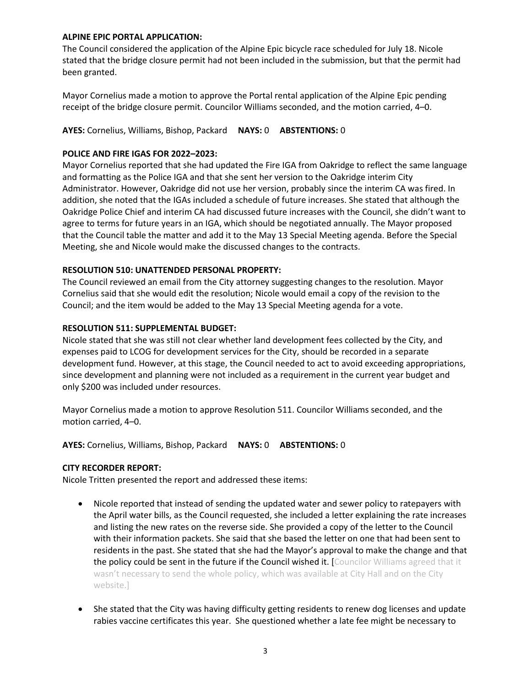#### **ALPINE EPIC PORTAL APPLICATION:**

The Council considered the application of the Alpine Epic bicycle race scheduled for July 18. Nicole stated that the bridge closure permit had not been included in the submission, but that the permit had been granted.

Mayor Cornelius made a motion to approve the Portal rental application of the Alpine Epic pending receipt of the bridge closure permit. Councilor Williams seconded, and the motion carried, 4–0.

**AYES:** Cornelius, Williams, Bishop, Packard **NAYS:** 0 **ABSTENTIONS:** 0

# **POLICE AND FIRE IGAS FOR 2022–2023:**

Mayor Cornelius reported that she had updated the Fire IGA from Oakridge to reflect the same language and formatting as the Police IGA and that she sent her version to the Oakridge interim City Administrator. However, Oakridge did not use her version, probably since the interim CA was fired. In addition, she noted that the IGAs included a schedule of future increases. She stated that although the Oakridge Police Chief and interim CA had discussed future increases with the Council, she didn't want to agree to terms for future years in an IGA, which should be negotiated annually. The Mayor proposed that the Council table the matter and add it to the May 13 Special Meeting agenda. Before the Special Meeting, she and Nicole would make the discussed changes to the contracts.

# **RESOLUTION 510: UNATTENDED PERSONAL PROPERTY:**

The Council reviewed an email from the City attorney suggesting changes to the resolution. Mayor Cornelius said that she would edit the resolution; Nicole would email a copy of the revision to the Council; and the item would be added to the May 13 Special Meeting agenda for a vote.

# **RESOLUTION 511: SUPPLEMENTAL BUDGET:**

Nicole stated that she was still not clear whether land development fees collected by the City, and expenses paid to LCOG for development services for the City, should be recorded in a separate development fund. However, at this stage, the Council needed to act to avoid exceeding appropriations, since development and planning were not included as a requirement in the current year budget and only \$200 was included under resources.

Mayor Cornelius made a motion to approve Resolution 511. Councilor Williams seconded, and the motion carried, 4–0.

**AYES:** Cornelius, Williams, Bishop, Packard **NAYS:** 0 **ABSTENTIONS:** 0

#### **CITY RECORDER REPORT:**

Nicole Tritten presented the report and addressed these items:

- Nicole reported that instead of sending the updated water and sewer policy to ratepayers with the April water bills, as the Council requested, she included a letter explaining the rate increases and listing the new rates on the reverse side. She provided a copy of the letter to the Council with their information packets. She said that she based the letter on one that had been sent to residents in the past. She stated that she had the Mayor's approval to make the change and that the policy could be sent in the future if the Council wished it. [Councilor Williams agreed that it wasn't necessary to send the whole policy, which was available at City Hall and on the City website.]
- She stated that the City was having difficulty getting residents to renew dog licenses and update rabies vaccine certificates this year. She questioned whether a late fee might be necessary to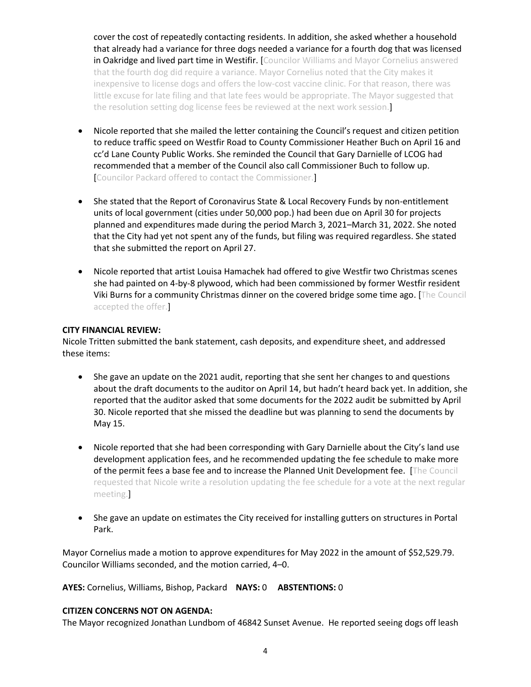cover the cost of repeatedly contacting residents. In addition, she asked whether a household that already had a variance for three dogs needed a variance for a fourth dog that was licensed in Oakridge and lived part time in Westifir. [Councilor Williams and Mayor Cornelius answered that the fourth dog did require a variance. Mayor Cornelius noted that the City makes it inexpensive to license dogs and offers the low-cost vaccine clinic. For that reason, there was little excuse for late filing and that late fees would be appropriate. The Mayor suggested that the resolution setting dog license fees be reviewed at the next work session.]

- Nicole reported that she mailed the letter containing the Council's request and citizen petition to reduce traffic speed on Westfir Road to County Commissioner Heather Buch on April 16 and cc'd Lane County Public Works. She reminded the Council that Gary Darnielle of LCOG had recommended that a member of the Council also call Commissioner Buch to follow up. [Councilor Packard offered to contact the Commissioner.]
- She stated that the Report of Coronavirus State & Local Recovery Funds by non-entitlement units of local government (cities under 50,000 pop.) had been due on April 30 for projects planned and expenditures made during the period March 3, 2021–March 31, 2022. She noted that the City had yet not spent any of the funds, but filing was required regardless. She stated that she submitted the report on April 27.
- Nicole reported that artist Louisa Hamachek had offered to give Westfir two Christmas scenes she had painted on 4-by-8 plywood, which had been commissioned by former Westfir resident Viki Burns for a community Christmas dinner on the covered bridge some time ago. [The Council accepted the offer.]

#### **CITY FINANCIAL REVIEW:**

Nicole Tritten submitted the bank statement, cash deposits, and expenditure sheet, and addressed these items:

- She gave an update on the 2021 audit, reporting that she sent her changes to and questions about the draft documents to the auditor on April 14, but hadn't heard back yet. In addition, she reported that the auditor asked that some documents for the 2022 audit be submitted by April 30. Nicole reported that she missed the deadline but was planning to send the documents by May 15.
- Nicole reported that she had been corresponding with Gary Darnielle about the City's land use development application fees, and he recommended updating the fee schedule to make more of the permit fees a base fee and to increase the Planned Unit Development fee. [The Council requested that Nicole write a resolution updating the fee schedule for a vote at the next regular meeting.]
- She gave an update on estimates the City received for installing gutters on structures in Portal Park.

Mayor Cornelius made a motion to approve expenditures for May 2022 in the amount of \$52,529.79. Councilor Williams seconded, and the motion carried, 4–0.

**AYES:** Cornelius, Williams, Bishop, Packard **NAYS:** 0 **ABSTENTIONS:** 0

#### **CITIZEN CONCERNS NOT ON AGENDA:**

The Mayor recognized Jonathan Lundbom of 46842 Sunset Avenue. He reported seeing dogs off leash